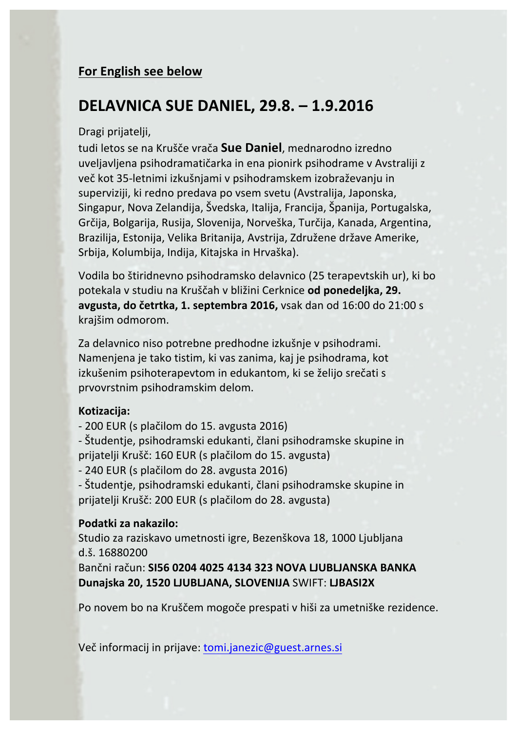# **For English see below**

# **DELAVNICA SUE DANIEL, 29.8. – 1.9.2016**

## Dragi prijatelji,

tudi letos se na Krušče vrača **Sue Daniel**, mednarodno izredno uveljavljena psihodramatičarka in ena pionirk psihodrame v Avstraliji z več kot 35-letnimi izkušnjami v psihodramskem izobraževanju in superviziji, ki redno predava po vsem svetu (Avstralija, Japonska, Singapur, Nova Zelandija, Švedska, Italija, Francija, Španija, Portugalska, Grčija, Bolgarija, Rusija, Slovenija, Norveška, Turčija, Kanada, Argentina, Brazilija, Estonija, Velika Britanija, Avstrija, Združene države Amerike, Srbija, Kolumbija, Indija, Kitajska in Hrvaška).

Vodila bo štiridnevno psihodramsko delavnico (25 terapevtskih ur), ki bo potekala v studiu na Kruščah v bližini Cerknice od ponedeljka, 29. **avgusta, do četrtka, 1. septembra 2016,** vsak dan od 16:00 do 21:00 s krajšim odmorom.

Za delavnico niso potrebne predhodne izkušnje v psihodrami. Namenjena je tako tistim, ki vas zanima, kaj je psihodrama, kot izkušenim psihoterapevtom in edukantom, ki se želijo srečati s prvovrstnim psihodramskim delom.

## **Kotizacija:**

- 200 EUR (s plačilom do 15. avgusta 2016)

- Študentie, psihodramski edukanti, člani psihodramske skupine in prijatelji Krušč: 160 EUR (s plačilom do 15. avgusta)

- 240 EUR (s plačilom do 28. avgusta 2016)

- Študentje, psihodramski edukanti, člani psihodramske skupine in prijatelji Krušč: 200 EUR (s plačilom do 28. avgusta)

## **Podatki za nakazilo:**

Studio za raziskavo umetnosti igre, Bezenškova 18, 1000 Ljubljana d.š. 16880200

Bančni račun: **SI56 0204 4025 4134 323 NOVA LJUBLJANSKA BANKA Dunajska 20, 1520 LJUBLJANA, SLOVENIJA** SWIFT: **LJBASI2X**

Po novem bo na Kruščem mogoče prespati v hiši za umetniške rezidence.

Več informacij in prijave: tomi.janezic@guest.arnes.si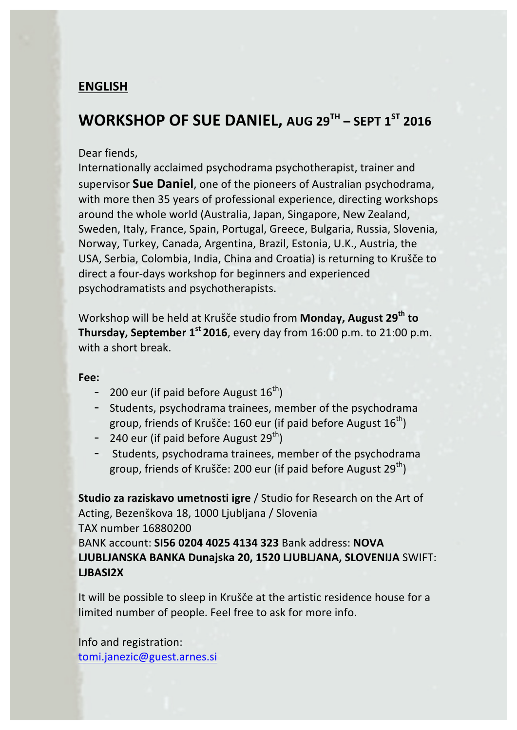# **ENGLISH**

# **WORKSHOP OF SUE DANIEL, AUG 29TH – SEPT 1ST 2016**

### Dear fiends,

Internationally acclaimed psychodrama psychotherapist, trainer and supervisor **Sue Daniel**, one of the pioneers of Australian psychodrama, with more then 35 years of professional experience, directing workshops around the whole world (Australia, Japan, Singapore, New Zealand, Sweden, Italy, France, Spain, Portugal, Greece, Bulgaria, Russia, Slovenia, Norway, Turkey, Canada, Argentina, Brazil, Estonia, U.K., Austria, the USA, Serbia, Colombia, India, China and Croatia) is returning to Krušče to direct a four-days workshop for beginners and experienced psychodramatists and psychotherapists.

Workshop will be held at Krušče studio from Monday, August 29<sup>th</sup> to **Thursday, September 1<sup>st</sup> 2016**, every day from 16:00 p.m. to 21:00 p.m. with a short break.

#### **Fee:**

- 200 eur (if paid before August  $16^{th}$ )
- Students, psychodrama trainees, member of the psychodrama group, friends of Krušče: 160 eur (if paid before August  $16^{th}$ )
- 240 eur (if paid before August  $29^{th}$ )
- Students, psychodrama trainees, member of the psychodrama group, friends of Krušče: 200 eur (if paid before August  $29^{th}$ )

**Studio za raziskavo umetnosti igre** / Studio for Research on the Art of Acting, Bezenškova 18, 1000 Ljubljana / Slovenia TAX number 16880200 BANK account: **SI56 0204 4025 4134 323** Bank address: **NOVA LJUBLJANSKA BANKA Dunajska 20, 1520 LJUBLJANA, SLOVENIJA** SWIFT: **LJBASI2X**

It will be possible to sleep in Krušče at the artistic residence house for a limited number of people. Feel free to ask for more info.

Info and registration: tomi.janezic@guest.arnes.si